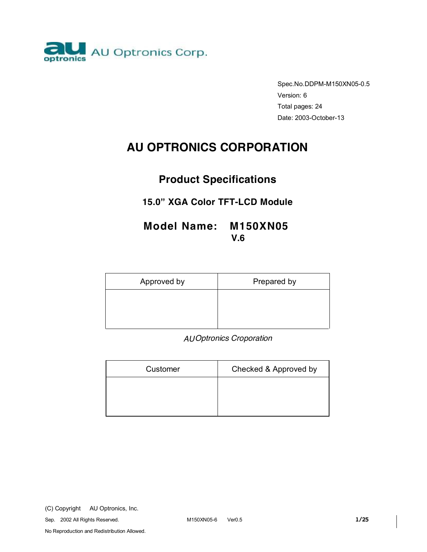

Spec.No.DDPM-M150XN05-0.5 Version: 6 Total pages: 24 Date: 2003-October-13

# **AU OPTRONICS CORPORATION**

# **Product Specifications**

# **15.0" XGA Color TFT-LCD Module**

# **Model Name: M150XN05 V.6**

| Approved by | Prepared by |
|-------------|-------------|
|             |             |
|             |             |

 *AU Optronics Croporation* 

| Customer | Checked & Approved by |  |  |
|----------|-----------------------|--|--|
|          |                       |  |  |
|          |                       |  |  |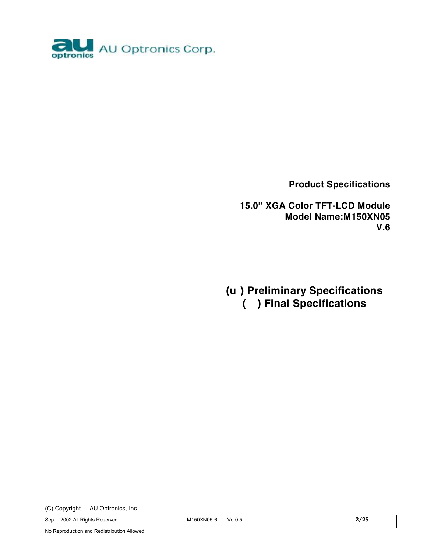

**Product Specifications** 

**15.0" XGA Color TFT-LCD Module Model Name:M150XN05 V.6** 

**(u ) Preliminary Specifications ( ) Final Specifications** 

(C) Copyright AU Optronics, Inc.

Sep. 2002 All Rights Reserved. M150XN05-6 Ver0.5 **2/25**

No Reproduction and Redistribution Allowed.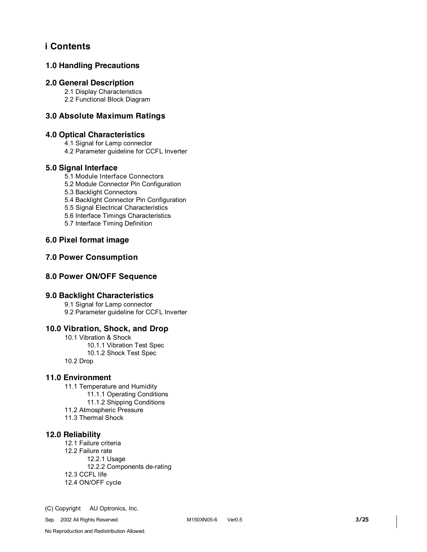# **i Contents**

### **1.0 Handling Precautions**

#### **2.0 General Description**

2.1 Display Characteristics

2.2 Functional Block Diagram

### **3.0 Absolute Maximum Ratings**

### **4.0 Optical Characteristics**

4.1 Signal for Lamp connector

4.2 Parameter guideline for CCFL Inverter

#### **5.0 Signal Interface**

5.1 Module Interface Connectors

5.2 Module Connector Pin Configuration

5.3 Backlight Connectors

5.4 Backlight Connector Pin Configuration

5.5 Signal Electrical Characteristics

5.6 Interface Timings Characteristics

5.7 Interface Timing Definition

### **6.0 Pixel format image**

### **7.0 Power Consumption**

### **8.0 Power ON/OFF Sequence**

### **9.0 Backlight Characteristics**

9.1 Signal for Lamp connector 9.2 Parameter guideline for CCFL Inverter

### **10.0 Vibration, Shock, and Drop**

10.1 Vibration & Shock 10.1.1 Vibration Test Spec 10.1.2 Shock Test Spec 10.2 Drop

#### **11.0 Environment**

11.1 Temperature and Humidity 11.1.1 Operating Conditions 11.1.2 Shipping Conditions 11.2 Atmospheric Pressure 11.3 Thermal Shock

#### **12.0 Reliability**

12.1 Failure criteria 12.2 Failure rate 12.2.1 Usage 12.2.2 Components de-rating 12.3 CCFL life 12.4 ON/OFF cycle

(C) Copyright AU Optronics, Inc.

Sep. 2002 All Rights Reserved. M150XN05-6 Ver0.5 **3/25**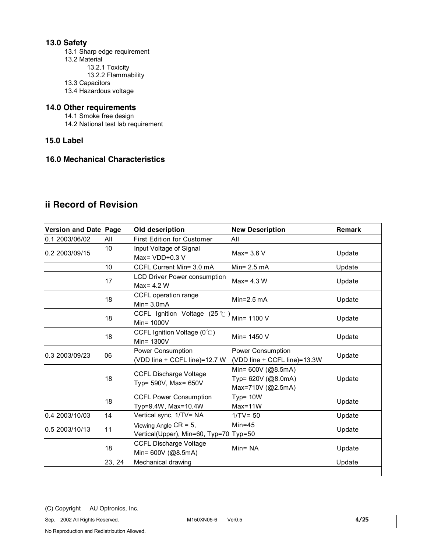## **13.0 Safety**

13.1 Sharp edge requirement

- 13.2 Material
	- 13.2.1 Toxicity
		- 13.2.2 Flammability
- 13.3 Capacitors
- 13.4 Hazardous voltage

## **14.0 Other requirements**

14.1 Smoke free design

- 14.2 National test lab requirement
- **15.0 Label**

## **16.0 Mechanical Characteristics**

# **ii Record of Revision**

| Version and Date Page | Old description |                                                                    | <b>New Description</b>                                        | <b>Remark</b> |  |
|-----------------------|-----------------|--------------------------------------------------------------------|---------------------------------------------------------------|---------------|--|
| 0.1 2003/06/02        | All             | <b>First Edition for Customer</b>                                  | All                                                           |               |  |
| 0.2 2003/09/15        | 10              | Input Voltage of Signal<br>Max= $VDD+0.3 V$                        | Max= 3.6 V                                                    | Update        |  |
|                       | 10              | CCFL Current Min= 3.0 mA                                           | Min= $2.5$ mA                                                 | Update        |  |
|                       | 17              | <b>LCD Driver Power consumption</b><br>$Max = 4.2 W$               | Max= 4.3 W                                                    | Update        |  |
|                       | 18              | CCFL operation range<br>$Min = 3.0mA$                              | Min= $2.5 \text{ mA}$                                         | Update        |  |
|                       | 18              | CCFL Ignition Voltage $(25 \degree C)$ Min= 1100 V<br>Min= 1000V   |                                                               | Update        |  |
|                       | 18              | CCFL Ignition Voltage $(0^{\circ}C)$<br>Min= 1300V                 | Min= 1450 V                                                   | Update        |  |
| 10.3 2003/09/23       | 06              | Power Consumption<br>(VDD line + CCFL line)=12.7 W                 | <b>Power Consumption</b><br>(VDD line + CCFL line)=13.3W      | Update        |  |
|                       | 18              | <b>CCFL Discharge Voltage</b><br>Typ= 590V, Max= 650V              | Min= 600V (@8.5mA)<br>Typ= 620V (@8.0mA)<br>Max=710V (@2.5mA) | Update        |  |
|                       | 18              | <b>CCFL Power Consumption</b><br>Typ=9.4W, Max=10.4W               | Typ= $10W$<br>Max=11W                                         | Update        |  |
| 0.4 2003/10/03        | 14              | Vertical sync, 1/TV= NA                                            | $1/TV = 50$                                                   | Update        |  |
| 0.5 2003/10/13        | 11              | Viewing Angle $CR = 5$ ,<br>Vertical(Upper), Min=60, Typ=70 Typ=50 | $Min=45$                                                      | Update        |  |
|                       | 18              | <b>CCFL Discharge Voltage</b><br>Min= 600V (@8.5mA)                | $Min = NA$                                                    | Update        |  |
|                       | 23, 24          | Mechanical drawing                                                 |                                                               | Update        |  |
|                       |                 |                                                                    |                                                               |               |  |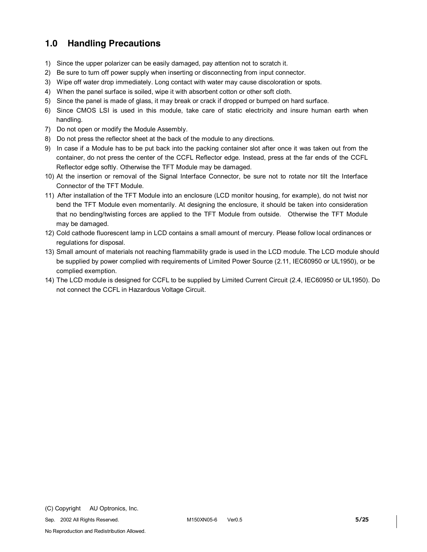# **1.0 Handling Precautions**

- 1) Since the upper polarizer can be easily damaged, pay attention not to scratch it.
- 2) Be sure to turn off power supply when inserting or disconnecting from input connector.
- 3) Wipe off water drop immediately. Long contact with water may cause discoloration or spots.
- 4) When the panel surface is soiled, wipe it with absorbent cotton or other soft cloth.
- 5) Since the panel is made of glass, it may break or crack if dropped or bumped on hard surface.
- 6) Since CMOS LSI is used in this module, take care of static electricity and insure human earth when handling.
- 7) Do not open or modify the Module Assembly.
- 8) Do not press the reflector sheet at the back of the module to any directions.
- 9) In case if a Module has to be put back into the packing container slot after once it was taken out from the container, do not press the center of the CCFL Reflector edge. Instead, press at the far ends of the CCFL Reflector edge softly. Otherwise the TFT Module may be damaged.
- 10) At the insertion or removal of the Signal Interface Connector, be sure not to rotate nor tilt the Interface Connector of the TFT Module.
- 11) After installation of the TFT Module into an enclosure (LCD monitor housing, for example), do not twist nor bend the TFT Module even momentarily. At designing the enclosure, it should be taken into consideration that no bending/twisting forces are applied to the TFT Module from outside. Otherwise the TFT Module may be damaged.
- 12) Cold cathode fluorescent lamp in LCD contains a small amount of mercury. Please follow local ordinances or regulations for disposal.
- 13) Small amount of materials not reaching flammability grade is used in the LCD module. The LCD module should be supplied by power complied with requirements of Limited Power Source (2.11, IEC60950 or UL1950), or be complied exemption.
- 14) The LCD module is designed for CCFL to be supplied by Limited Current Circuit (2.4, IEC60950 or UL1950). Do not connect the CCFL in Hazardous Voltage Circuit.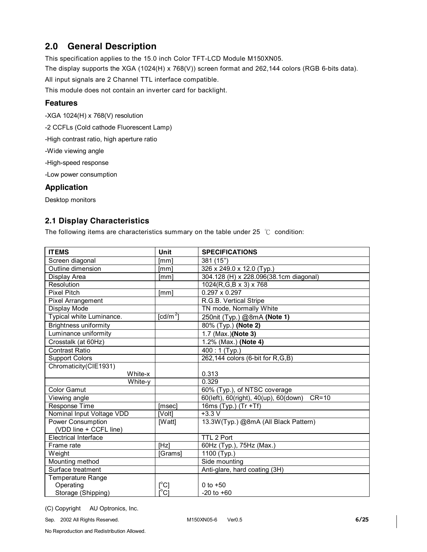# **2.0 General Description**

This specification applies to the 15.0 inch Color TFT-LCD Module M150XN05.

The display supports the XGA (1024(H) x 768(V)) screen format and 262,144 colors (RGB 6-bits data).

All input signals are 2 Channel TTL interface compatible.

This module does not contain an inverter card for backlight.

### **Features**

-XGA 1024(H) x 768(V) resolution

-2 CCFLs (Cold cathode Fluorescent Lamp)

-High contrast ratio, high aperture ratio

-Wide viewing angle

-High-speed response

-Low power consumption

### **Application**

Desktop monitors

## **2.1 Display Characteristics**

The following items are characteristics summary on the table under 25  $°C$  condition:

| <b>ITEMS</b>                 | Unit                              | <b>SPECIFICATIONS</b>                            |
|------------------------------|-----------------------------------|--------------------------------------------------|
| Screen diagonal              | [mm]                              | 381 (15")                                        |
| Outline dimension            | [mm]                              | 326 x 249.0 x 12.0 (Typ.)                        |
| Display Area                 | [mm]                              | 304.128 (H) x 228.096(38.1cm diagonal)           |
| Resolution                   |                                   | $1024(R,G,B \times 3) \times 768$                |
| <b>Pixel Pitch</b>           | [mm]                              | $0.297 \times 0.297$                             |
| <b>Pixel Arrangement</b>     |                                   | R.G.B. Vertical Stripe                           |
| Display Mode                 |                                   | TN mode, Normally White                          |
| Typical white Luminance.     | $\text{[cd/m}^2$                  | 250nit (Typ.) @8mA (Note 1)                      |
| <b>Brightness uniformity</b> |                                   | 80% (Typ.) (Note 2)                              |
| Luminance uniformity         |                                   | 1.7 (Max.)(Note 3)                               |
| Crosstalk (at 60Hz)          |                                   | 1.2% (Max.) (Note 4)                             |
| <b>Contrast Ratio</b>        |                                   | $\overline{400}$ : 1 (Typ.)                      |
| Support Colors               |                                   | 262,144 colors (6-bit for R,G,B)                 |
| Chromaticity(CIE1931)        |                                   |                                                  |
| White-x                      |                                   | 0.313                                            |
| White-y                      |                                   | 0.329                                            |
| <b>Color Gamut</b>           |                                   | 60% (Typ.), of NTSC coverage                     |
| Viewing angle                |                                   | 60(left), 60(right), 40(up), 60(down)<br>$CR=10$ |
| Response Time                | [msec]                            | 16ms (Typ.) (Tr +Tf)                             |
| Nominal Input Voltage VDD    | [Volt]                            | $+3.3 V$                                         |
| Power Consumption            | [Watt]                            | 13.3W(Typ.) @8mA (All Black Pattern)             |
| (VDD line + CCFL line)       |                                   |                                                  |
| <b>Electrical Interface</b>  |                                   | TTL 2 Port                                       |
| Frame rate                   | [Hz]                              | 60Hz (Typ.), 75Hz (Max.)                         |
| Weight                       | [Grams]                           | 1100 (Typ.)                                      |
| Mounting method              |                                   | Side mounting                                    |
| Surface treatment            |                                   | Anti-glare, hard coating (3H)                    |
| Temperature Range            |                                   |                                                  |
| Operating                    | $\mathfrak{l}^{\circ}\mathsf{C}]$ | 0 to $+50$                                       |
| Storage (Shipping)           | $\overline{C}$                    | $-20$ to $+60$                                   |

(C) Copyright AU Optronics, Inc.

Sep. 2002 All Rights Reserved. M150XN05-6 Ver0.5 **6/25**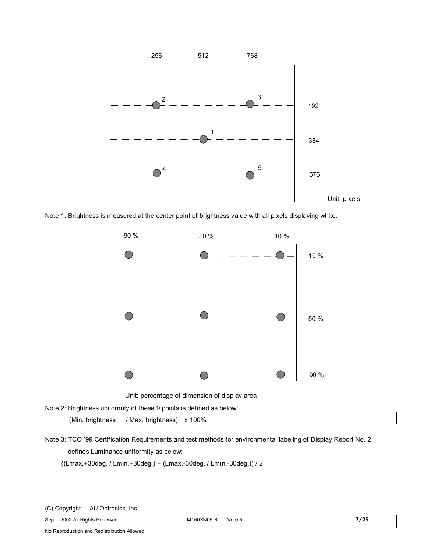

Note 1: Brightness is measured at the center point of brightness value with all pixels displaying white.



Unit: percentage of dimension of display area

Note 2: Brightness uniformity of these 9 points is defined as below:

(Min. brightness / Max. brightness) x 100%

Note 3: TCO '99 Certification Requirements and test methods for environmental labeling of Display Report No. 2 defines Luminance uniformity as below:

((Lmax,+30deg. / Lmin,+30deg.) + (Lmax,-30deg. / Lmin,-30deg.)) / 2

Sep. 2002 All Rights Reserved. M150XN05-6 Ver0.5 **7/25**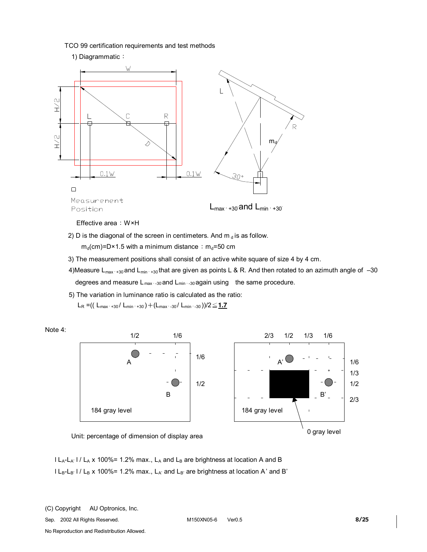TCO 99 certification requirements and test methods



2) D is the diagonal of the screen in centimeters. And  $m_d$  is as follow.

 $m_d$ (cm)=D×1.5 with a minimum distance:  $m_d$ =50 cm

- 3) The measurement positions shall consist of an active white square of size 4 by 4 cm.
- 4)Measure L<sub>max</sub>, +30°and L<sub>min</sub>, +30°that are given as points L & R. And then rotated to an azimuth angle of -30 degrees and measure L<sub>max,-30</sub> and L<sub>min</sub>, <sub>30</sub> again using the same procedure.
- 5) The variation in luminance ratio is calculated as the ratio:

 $L_R = (( L_{max'+30} / L_{min'+30}) + ( L_{max'+30} / L_{min'+30}) )/2 \leq 1.7$ 





Unit: percentage of dimension of display area

 $|L_A-L_{A'}|/L_A$  x 100%= 1.2% max.,  $L_A$  and  $L_B$  are brightness at location A and B  $l L_B-L_B$ '  $l / L_B$  x 100%= 1.2% max.,  $L_{A'}$  and  $L_{B'}$  are brightness at location A' and B'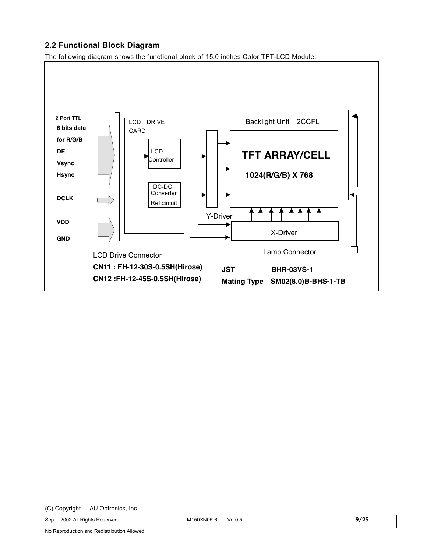## **2.2 Functional Block Diagram**

The following diagram shows the functional block of 15.0 inches Color TFT-LCD Module:

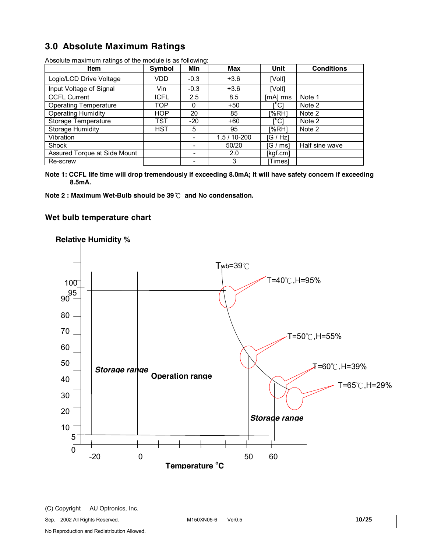# **3.0 Absolute Maximum Ratings**

| <b>Item</b>                  | Symbol      | ັ<br>Min       | Max            | Unit       | <b>Conditions</b> |
|------------------------------|-------------|----------------|----------------|------------|-------------------|
| Logic/LCD Drive Voltage      | VDD.        | $-0.3$         | $+3.6$         | [Volt]     |                   |
| Input Voltage of Signal      | Vin         | $-0.3$         | $+3.6$         | [Volt]     |                   |
| <b>CCFL Current</b>          | <b>ICFL</b> | 2.5            | 8.5            | $[mA]$ rms | Note 1            |
| <b>Operating Temperature</b> | TOP.        | 0              | $+50$          | [°C]       | Note 2            |
| <b>Operating Humidity</b>    | <b>HOP</b>  | 20             | 85             | [%RH]      | Note 2            |
| Storage Temperature          | TST         | $-20$          | $+60$          | [°C]       | Note 2            |
| <b>Storage Humidity</b>      | HST.        | 5              | 95             | I%RH1      | Note 2            |
| Vibration                    |             |                | $1.5/10 - 200$ | [G / Hz]   |                   |
| Shock                        |             |                | 50/20          | [G / ms]   | Half sine wave    |
| Assured Torque at Side Mount |             | $\blacksquare$ | 2.0            | [kgf.cm]   |                   |
| Re-screw                     |             |                | 3              | Times1     |                   |

Absolute maximum ratings of the module is as following:

**Note 1: CCFL life time will drop tremendously if exceeding 8.0mA; It will have safety concern if exceeding 8.5mA.** 

**Note 2 : Maximum Wet-Bulb should be 39**℃ **and No condensation.**

### **Wet bulb temperature chart**



## **Relative Humidity %**

Sep. 2002 All Rights Reserved. M150XN05-6 Ver0.5 **10/25**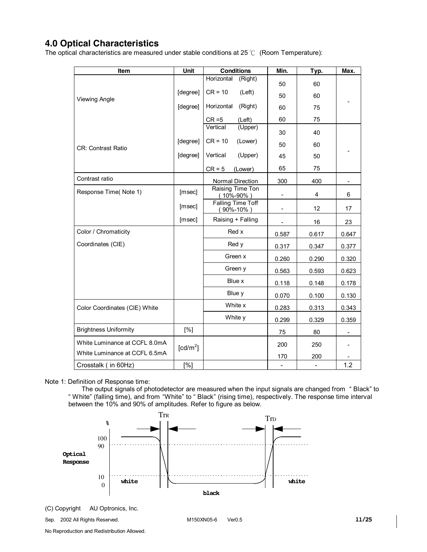# **4.0 Optical Characteristics**

The optical characteristics are measured under stable conditions at 25 ℃ (Room Temperature):

| Item                          | <b>Conditions</b><br>Unit |                                             | Min.                     | Typ.                     | Max.  |
|-------------------------------|---------------------------|---------------------------------------------|--------------------------|--------------------------|-------|
|                               |                           | Horizontal<br>(Right)                       | 50                       | 60                       |       |
| <b>Viewing Angle</b>          | [degree]                  | $CR = 10$<br>(Left)                         | 50                       | 60                       |       |
|                               | [degree]                  | Horizontal<br>(Right)                       | 60                       | 75                       |       |
|                               |                           | $CR = 5$<br>(Left)                          | 60                       | 75                       |       |
|                               |                           | Vertical<br>$(\overline{Upper})$            | 30                       | 40                       |       |
| <b>CR: Contrast Ratio</b>     | [degree]                  | $CR = 10$<br>(Lower)                        | 50                       | 60                       |       |
|                               | [degree]                  | Vertical<br>(Upper)                         | 45                       | 50                       |       |
|                               |                           | $CR = 5$<br>(Lower)                         | 65                       | 75                       |       |
| Contrast ratio                |                           | Normal Direction                            | 300                      | 400                      |       |
| Response Time(Note 1)         | [msec]                    | Raising Time Ton<br>(10%-90%)               |                          | 4                        | 6     |
|                               | [msec]                    | <b>Falling Time Toff</b><br>$(90\% - 10\%)$ | ÷,                       | 12 <sup>2</sup>          | 17    |
|                               | [msec]                    | Raising + Falling                           |                          | 16                       | 23    |
| Color / Chromaticity          |                           | Red x                                       | 0.587                    | 0.617                    | 0.647 |
| Coordinates (CIE)             |                           | Red y                                       | 0.317                    | 0.347                    | 0.377 |
|                               |                           | Green x                                     | 0.260                    | 0.290                    | 0.320 |
|                               |                           | Green y                                     | 0.563                    | 0.593                    | 0.623 |
|                               |                           | Blue x                                      | 0.118                    | 0.148                    | 0.178 |
|                               |                           | Blue y                                      | 0.070                    | 0.100                    | 0.130 |
| Color Coordinates (CIE) White |                           | White x                                     | 0.283                    | 0.313                    | 0.343 |
|                               |                           | White y                                     | 0.299                    | 0.329                    | 0.359 |
| <b>Brightness Uniformity</b>  | [%]                       |                                             | 75                       | 80                       |       |
| White Luminance at CCFL 8.0mA | [cd/m <sup>2</sup> ]      |                                             | 200                      | 250                      |       |
| White Luminance at CCFL 6.5mA |                           |                                             | 170                      | 200                      |       |
| Crosstalk (in 60Hz)           | [%]                       |                                             | $\overline{\phantom{a}}$ | $\overline{\phantom{a}}$ | 1.2   |

Note 1: Definition of Response time:

The output signals of photodetector are measured when the input signals are changed from " Black" to " White" (falling time), and from "White" to " Black" (rising time), respectively. The response time interval between the 10% and 90% of amplitudes. Refer to figure as below.



Sep. 2002 All Rights Reserved. M150XN05-6 Ver0.5 **11/25**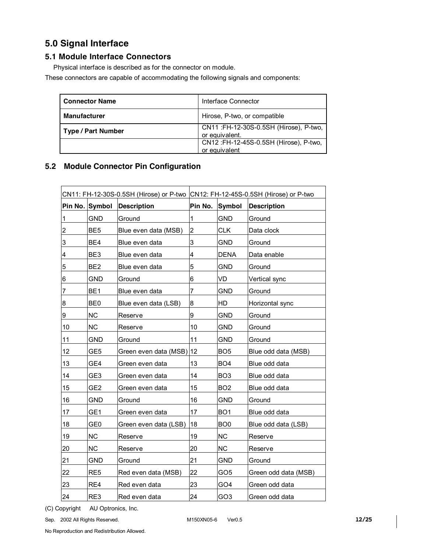# **5.0 Signal Interface**

## **5.1 Module Interface Connectors**

Physical interface is described as for the connector on module.

These connectors are capable of accommodating the following signals and components:

| <b>Connector Name</b>     | Interface Connector                                      |
|---------------------------|----------------------------------------------------------|
| <b>Manufacturer</b>       | Hirose, P-two, or compatible                             |
| <b>Type / Part Number</b> | CN11: FH-12-30S-0.5SH (Hirose), P-two,<br>or equivalent. |
|                           | CN12:FH-12-45S-0.5SH (Hirose), P-two,<br>or equivalent   |

## **5.2 Module Connector Pin Configuration**

| CN11: FH-12-30S-0.5SH (Hirose) or P-two CN12: FH-12-45S-0.5SH (Hirose) or P-two |                 |                          |                |                 |                      |
|---------------------------------------------------------------------------------|-----------------|--------------------------|----------------|-----------------|----------------------|
|                                                                                 | Pin No. Symbol  | <b>Description</b>       | Pin No.        | Symbol          | <b>Description</b>   |
| 1                                                                               | <b>GND</b>      | Ground                   | 1              | <b>GND</b>      | Ground               |
| $\overline{c}$                                                                  | BE <sub>5</sub> | Blue even data (MSB)     | $\overline{2}$ | <b>CLK</b>      | Data clock           |
| 3                                                                               | BE4             | Blue even data           | 3              | <b>GND</b>      | Ground               |
| $\overline{\mathbf{4}}$                                                         | BE3             | Blue even data           | 4              | <b>DENA</b>     | Data enable          |
| 5                                                                               | BE <sub>2</sub> | Blue even data           | 5              | <b>GND</b>      | Ground               |
| $\,6$                                                                           | <b>GND</b>      | Ground                   | 6              | VD              | Vertical sync        |
| 7                                                                               | BE <sub>1</sub> | Blue even data           | 7              | <b>GND</b>      | Ground               |
| 8                                                                               | BE <sub>0</sub> | Blue even data (LSB)     | 8              | HD              | Horizontal sync      |
| 9                                                                               | <b>NC</b>       | Reserve                  | 9              | <b>GND</b>      | Ground               |
| 10                                                                              | <b>NC</b>       | Reserve                  | 10             | <b>GND</b>      | Ground               |
| 11                                                                              | <b>GND</b>      | Ground                   | 11             | <b>GND</b>      | Ground               |
| 12                                                                              | GE5             | Green even data (MSB) 12 |                | BO <sub>5</sub> | Blue odd data (MSB)  |
| 13                                                                              | GE4             | Green even data          | 13             | BO <sub>4</sub> | Blue odd data        |
| 14                                                                              | GE <sub>3</sub> | Green even data          | 14             | BO <sub>3</sub> | Blue odd data        |
| 15                                                                              | GE2             | Green even data          | 15             | BO <sub>2</sub> | Blue odd data        |
| 16                                                                              | <b>GND</b>      | Ground                   | 16             | GND             | Ground               |
| 17                                                                              | GE1             | Green even data          | 17             | BO <sub>1</sub> | Blue odd data        |
| 18                                                                              | GE <sub>0</sub> | Green even data (LSB)    | 18             | BO <sub>0</sub> | Blue odd data (LSB)  |
| 19                                                                              | <b>NC</b>       | Reserve                  | 19             | <b>NC</b>       | Reserve              |
| 20                                                                              | <b>NC</b>       | Reserve                  | 20             | <b>NC</b>       | Reserve              |
| 21                                                                              | GND             | Ground                   | 21             | GND             | Ground               |
| 22                                                                              | RE <sub>5</sub> | Red even data (MSB)      | 22             | GO5             | Green odd data (MSB) |
| 23                                                                              | RE4             | Red even data            | 23             | GO4             | Green odd data       |
| 24                                                                              | RE3             | Red even data            | 24             | GO <sub>3</sub> | Green odd data       |

(C) Copyright AU Optronics, Inc.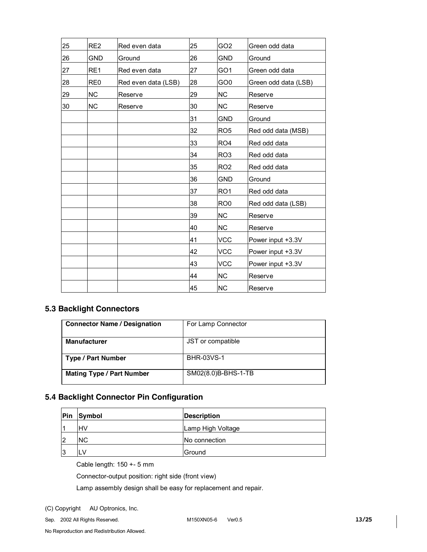| 25 | RE <sub>2</sub> | Red even data       | 25 | GO <sub>2</sub> | Green odd data       |
|----|-----------------|---------------------|----|-----------------|----------------------|
| 26 | <b>GND</b>      | Ground              | 26 | <b>GND</b>      | Ground               |
| 27 | RE1             | Red even data       | 27 | GO <sub>1</sub> | Green odd data       |
| 28 | RE <sub>0</sub> | Red even data (LSB) | 28 | GO <sub>0</sub> | Green odd data (LSB) |
| 29 | <b>NC</b>       | Reserve             | 29 | <b>NC</b>       | Reserve              |
| 30 | <b>NC</b>       | Reserve             | 30 | <b>NC</b>       | Reserve              |
|    |                 |                     | 31 | <b>GND</b>      | Ground               |
|    |                 |                     | 32 | RO <sub>5</sub> | Red odd data (MSB)   |
|    |                 |                     | 33 | RO <sub>4</sub> | Red odd data         |
|    |                 |                     | 34 | RO <sub>3</sub> | Red odd data         |
|    |                 |                     | 35 | RO <sub>2</sub> | Red odd data         |
|    |                 |                     | 36 | <b>GND</b>      | Ground               |
|    |                 |                     | 37 | RO <sub>1</sub> | Red odd data         |
|    |                 |                     | 38 | RO <sub>0</sub> | Red odd data (LSB)   |
|    |                 |                     | 39 | <b>NC</b>       | Reserve              |
|    |                 |                     | 40 | <b>NC</b>       | Reserve              |
|    |                 |                     | 41 | <b>VCC</b>      | Power input +3.3V    |
|    |                 |                     | 42 | <b>VCC</b>      | Power input +3.3V    |
|    |                 |                     | 43 | <b>VCC</b>      | Power input +3.3V    |
|    |                 |                     | 44 | <b>NC</b>       | Reserve              |
|    |                 |                     | 45 | <b>NC</b>       | Reserve              |

## **5.3 Backlight Connectors**

| <b>Connector Name / Designation</b> | For Lamp Connector  |
|-------------------------------------|---------------------|
| <b>Manufacturer</b>                 | JST or compatible   |
| Type / Part Number                  | <b>BHR-03VS-1</b>   |
| <b>Mating Type / Part Number</b>    | SM02(8.0)B-BHS-1-TB |

## **5.4 Backlight Connector Pin Configuration**

| Pin | Symbol    | <b>Description</b> |  |  |  |
|-----|-----------|--------------------|--|--|--|
|     | lнv       | Lamp High Voltage  |  |  |  |
| 12  | <b>NC</b> | No connection      |  |  |  |
| 13  | LV        | Ground             |  |  |  |

Cable length: 150 +- 5 mm

Connector-output position: right side (front view)

Lamp assembly design shall be easy for replacement and repair.

(C) Copyright AU Optronics, Inc.

Sep. 2002 All Rights Reserved. M150XN05-6 Ver0.5 **13/25**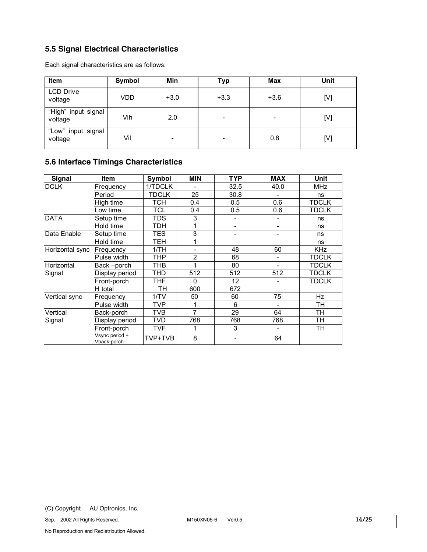## **5.5 Signal Electrical Characteristics**

Each signal characteristics are as follows:

| Item                           | Symbol | Min    | <b>Typ</b>               | <b>Max</b>               | Unit |
|--------------------------------|--------|--------|--------------------------|--------------------------|------|
| <b>LCD Drive</b><br>voltage    | VDD    | $+3.0$ | $+3.3$                   | $+3.6$                   | [V]  |
| "High" input signal<br>voltage | Vih    | 2.0    | $\overline{\phantom{a}}$ | $\overline{\phantom{0}}$ | [V]  |
| "Low" input signal<br>voltage  | Vil    | -      | $\overline{\phantom{0}}$ | 0.8                      | [V]  |

## **5.6 Interface Timings Characteristics**

| Signal          | <b>Item</b>                   | Symbol       | <b>MIN</b>     | <b>TYP</b> | <b>MAX</b>                   | Unit         |
|-----------------|-------------------------------|--------------|----------------|------------|------------------------------|--------------|
| <b>DCLK</b>     | Frequency                     | 1/TDCLK      |                | 32.5       | 40.0                         | <b>MHz</b>   |
|                 | Period                        | <b>TDCLK</b> | 25             | 30.8       | $\overline{a}$               | ns           |
|                 | High time                     | тсн          | 0.4            | 0.5        | 0.6                          | TDCLK        |
|                 | Low time                      | TCL          | 0.4            | 0.5        | 0.6                          | TDCLK        |
| <b>DATA</b>     | Setup time                    | TDS          | 3              |            |                              | ns           |
|                 | Hold time                     | TDH          | 1              | -          | $\overline{\phantom{a}}$     | ns           |
| Data Enable     | Setup time                    | TES          | 3              | ۰          | $\overline{\phantom{a}}$     | ns           |
|                 | Hold time                     | TEH          | 1              |            |                              | ns           |
| Horizontal sync | Frequency                     | 1/TH         |                | 48         | 60                           | <b>KHz</b>   |
|                 | Pulse width                   | THP          | 2              | 68         | $\qquad \qquad \blacksquare$ | TDCLK        |
| Horizontal      | Back -porch                   | THB          | 1              | 80         | -                            | <b>TDCLK</b> |
| Signal          | Display period                | THD          | 512            | 512        | 512                          | <b>TDCLK</b> |
|                 | Front-porch                   | THF          | $\Omega$       | 12         | -                            | <b>TDCLK</b> |
|                 | H total                       | TН           | 600            | 672        |                              |              |
| Vertical sync   | Frequency                     | 1/TV         | 50             | 60         | 75                           | Hz           |
|                 | Pulse width                   | <b>TVP</b>   | 1              | 6          | $\overline{\phantom{0}}$     | TН           |
| Vertical        | Back-porch                    | TVB          | $\overline{7}$ | 29         | 64                           | TН           |
| Signal          | Display period                | TVD          | 768            | 768        | 768                          | TН           |
|                 | Front-porch                   | TVF          |                | 3          | -                            | TH           |
|                 | Vsync period +<br>Vback-porch | TVP+TVB      | 8              |            | 64                           |              |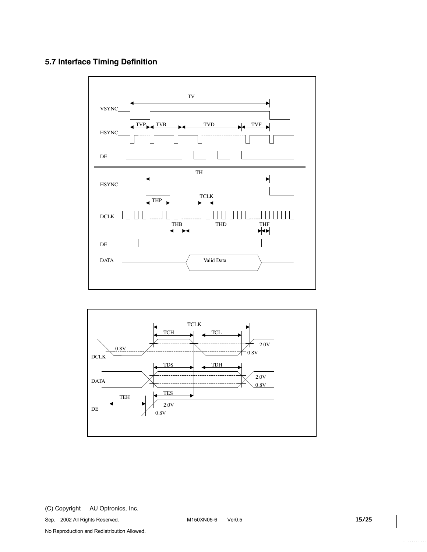## **5.7 Interface Timing Definition**





Sep. 2002 All Rights Reserved. M150XN05-6 Ver0.5 **15/25**

No Reproduction and Redistribution Allowed.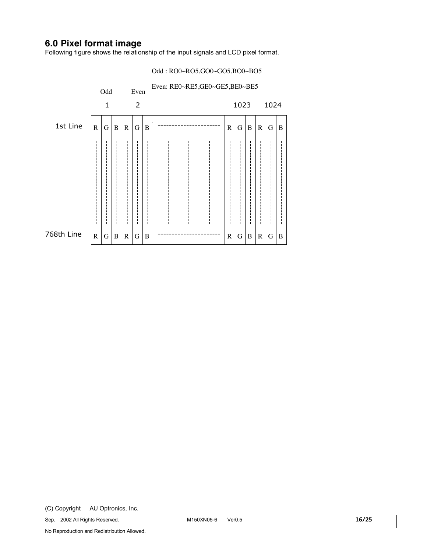# **6.0 Pixel format image**

Following figure shows the relationship of the input signals and LCD pixel format.

#### Odd : RO0~RO5,GO0~GO5,BO0~BO5

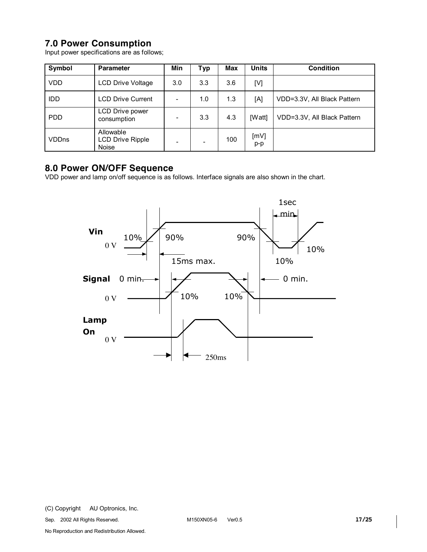# **7.0 Power Consumption**

Input power specifications are as follows;

| Symbol       | <b>Parameter</b>                                     | Min | <b>Typ</b> | <b>Max</b> | <b>Units</b>  | <b>Condition</b>            |
|--------------|------------------------------------------------------|-----|------------|------------|---------------|-----------------------------|
| <b>VDD</b>   | <b>LCD Drive Voltage</b>                             | 3.0 | 3.3        | 3.6        | [V]           |                             |
| <b>IDD</b>   | <b>LCD Drive Current</b>                             |     | 1.0        | 1.3        | [A]           | VDD=3.3V, All Black Pattern |
| <b>PDD</b>   | LCD Drive power<br>consumption                       |     | 3.3        | 4.3        | [Watt]        | VDD=3.3V, All Black Pattern |
| <b>VDDns</b> | Allowable<br><b>LCD Drive Ripple</b><br><b>Noise</b> |     |            | 100        | [mV]<br>$p-p$ |                             |

# **8.0 Power ON/OFF Sequence**

VDD power and lamp on/off sequence is as follows. Interface signals are also shown in the chart.

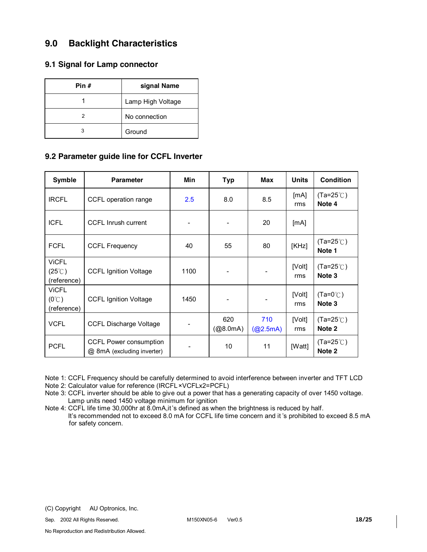# **9.0 Backlight Characteristics**

### **9.1 Signal for Lamp connector**

| Pin # | signal Name       |
|-------|-------------------|
|       | Lamp High Voltage |
|       | No connection     |
| з     | Ground            |

### **9.2 Parameter guide line for CCFL Inverter**

| Symble                                          | <b>Parameter</b>                                     | Min  | <b>Typ</b>      | Max             | <b>Units</b>  | <b>Condition</b>             |
|-------------------------------------------------|------------------------------------------------------|------|-----------------|-----------------|---------------|------------------------------|
| <b>IRCFL</b>                                    | CCFL operation range                                 | 2.5  | 8.0             | 8.5             | [mA]<br>rms   | $(Ta=25^{\circ}$<br>Note 4   |
| <b>ICFL</b>                                     | <b>CCFL Inrush current</b>                           |      |                 | 20              | [mA]          |                              |
| <b>FCFL</b>                                     | <b>CCFL Frequency</b>                                | 40   | 55              | 80              | [KHz]         | $(Ta=25^{\circ}C)$<br>Note 1 |
| <b>ViCFL</b><br>$(25^{\circ}$ C)<br>(reference) | <b>CCFL Ignition Voltage</b>                         | 1100 |                 |                 | [Volt]<br>rms | $(Ta=25^{\circ}$<br>Note 3   |
| <b>ViCFL</b><br>$(0^{\circ}C)$<br>(reference)   | <b>CCFL Ignition Voltage</b>                         | 1450 |                 |                 | [Volt]<br>rms | $(Ta=0^{\circ}$<br>Note 3    |
| <b>VCFL</b>                                     | <b>CCFL Discharge Voltage</b>                        |      | 620<br>(Q8.0mA) | 710<br>(Q2.5mA) | [Volt]<br>rms | $(Ta=25^{\circ}$<br>Note 2   |
| <b>PCFL</b>                                     | CCFL Power consumption<br>@ 8mA (excluding inverter) |      | 10              | 11              | [Watt]        | $(Ta=25^{\circ}C)$<br>Note 2 |

Note 1: CCFL Frequency should be carefully determined to avoid interference between inverter and TFT LCD

Note 2: Calculator value for reference (IRCFL×VCFLx2=PCFL)

Note 3: CCFL inverter should be able to give out a power that has a generating capacity of over 1450 voltage. Lamp units need 1450 voltage minimum for ignition

Note 4: CCFL life time 30,000hr at 8.0mA,it's defined as when the brightness is reduced by half.

 It's recommended not to exceed 8.0 mA for CCFL life time concern and it 's prohibited to exceed 8.5 mA for safety concern.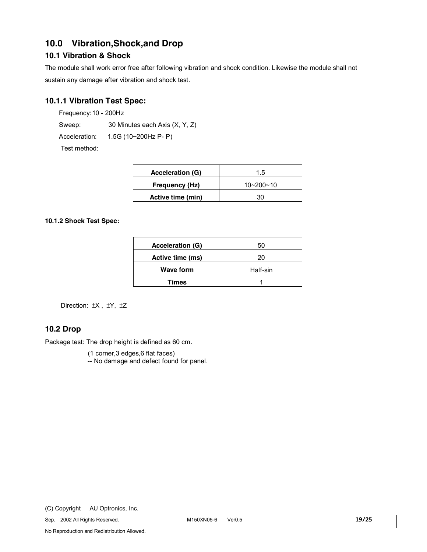# **10.0 Vibration,Shock,and Drop**

## **10.1 Vibration & Shock**

The module shall work error free after following vibration and shock condition. Likewise the module shall not sustain any damage after vibration and shock test.

## **10.1.1 Vibration Test Spec:**

Frequency:10 - 200Hz

Sweep: 30 Minutes each Axis (X, Y, Z)

Acceleration: 1.5G (10~200Hz P- P)

Test method:

| Acceleration (G)  | 1.5             |  |  |
|-------------------|-----------------|--|--|
| Frequency (Hz)    | $10 - 200 - 10$ |  |  |
| Active time (min) | 30              |  |  |

#### **10.1.2 Shock Test Spec:**

| <b>Acceleration (G)</b> | 50       |
|-------------------------|----------|
| Active time (ms)        | 20       |
| <b>Wave form</b>        | Half-sin |
| <b>Times</b>            |          |

Direction: ±X , ±Y, ±Z

## **10.2 Drop**

Package test: The drop height is defined as 60 cm.

(1 corner,3 edges,6 flat faces)

-- No damage and defect found for panel.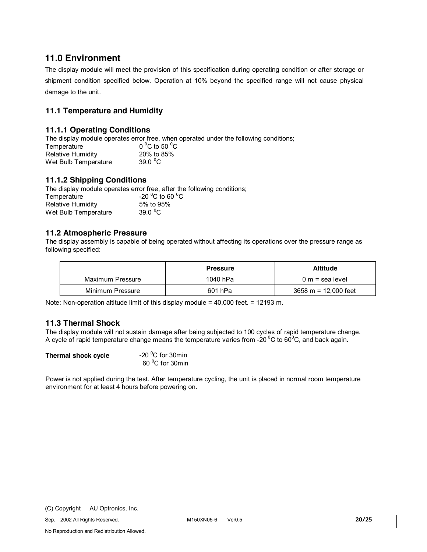## **11.0 Environment**

The display module will meet the provision of this specification during operating condition or after storage or shipment condition specified below. Operation at 10% beyond the specified range will not cause physical damage to the unit.

## **11.1 Temperature and Humidity**

### **11.1.1 Operating Conditions**

The display module operates error free, when operated under the following conditions;

| Temperature          | 0 $^{\circ}$ C to 50 $^{\circ}$ C |
|----------------------|-----------------------------------|
| Relative Humidity    | 20% to 85%                        |
| Wet Bulb Temperature | 39.0 $\mathrm{^0C}$               |

### **11.1.2 Shipping Conditions**

The display module operates error free, after the following conditions; Temperature C to 60  $^{\circ}$ C Relative Humidity 5% to 95% Wet Bulb Temperature 39.0 $\degree$ C

### **11.2 Atmospheric Pressure**

The display assembly is capable of being operated without affecting its operations over the pressure range as following specified:

|                  | <b>Pressure</b> | <b>Altitude</b>                        |
|------------------|-----------------|----------------------------------------|
| Maximum Pressure | 1040 hPa        | $0 m =$ sea level                      |
| Minimum Pressure | 601 hPa         | $3658 \text{ m} = 12,000 \text{ feet}$ |

Note: Non-operation altitude limit of this display module = 40,000 feet. = 12193 m.

### **11.3 Thermal Shock**

The display module will not sustain damage after being subjected to 100 cycles of rapid temperature change. A cycle of rapid temperature change means the temperature varies from -20  $\rm{^0C}$  to 60 $\rm{^0C}$ , and back again.

**Thermal shock cycle** 

-20 $\mathrm{^0C}$  for 30min 60<sup>°</sup>C for 30min

Power is not applied during the test. After temperature cycling, the unit is placed in normal room temperature environment for at least 4 hours before powering on.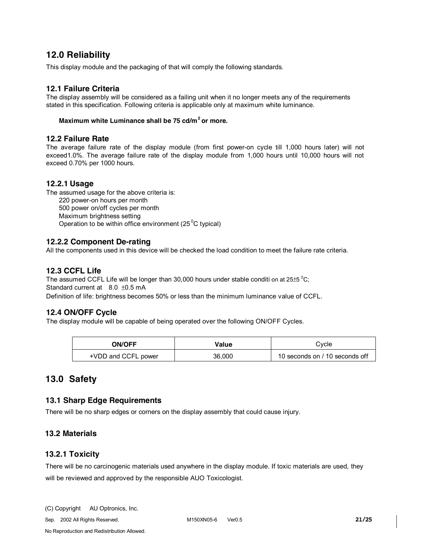## **12.0 Reliability**

This display module and the packaging of that will comply the following standards.

### **12.1 Failure Criteria**

The display assembly will be considered as a failing unit when it no longer meets any of the requirements stated in this specification. Following criteria is applicable only at maximum white luminance.

### **Maximum white Luminance shall be 75 cd/m2 or more.**

#### **12.2 Failure Rate**

The average failure rate of the display module (from first power-on cycle till 1,000 hours later) will not exceed1.0%. The average failure rate of the display module from 1,000 hours until 10,000 hours will not exceed 0.70% per 1000 hours.

#### **12.2.1 Usage**

The assumed usage for the above criteria is: 220 power-on hours per month 500 power on/off cycles per month Maximum brightness setting Operation to be within office environment (25 $\mathrm{^0C}$  typical)

#### **12.2.2 Component De-rating**

All the components used in this device will be checked the load condition to meet the failure rate criteria.

### **12.3 CCFL Life**

The assumed CCFL Life will be longer than 30,000 hours under stable conditi on at 25 $\pm$ 5  $^{\circ}$ C; Standard current at 8.0 ±0.5 mA Definition of life: brightness becomes 50% or less than the minimum luminance value of CCFL.

### **12.4 ON/OFF Cycle**

The display module will be capable of being operated over the following ON/OFF Cycles.

| <b>ON/OFF</b>       | Value  | Cvcle                          |  |
|---------------------|--------|--------------------------------|--|
| +VDD and CCFL power | 36.000 | 10 seconds on / 10 seconds off |  |

## **13.0 Safety**

### **13.1 Sharp Edge Requirements**

There will be no sharp edges or corners on the display assembly that could cause injury.

## **13.2 Materials**

### **13.2.1 Toxicity**

There will be no carcinogenic materials used anywhere in the display module. If toxic materials are used, they will be reviewed and approved by the responsible AUO Toxicologist.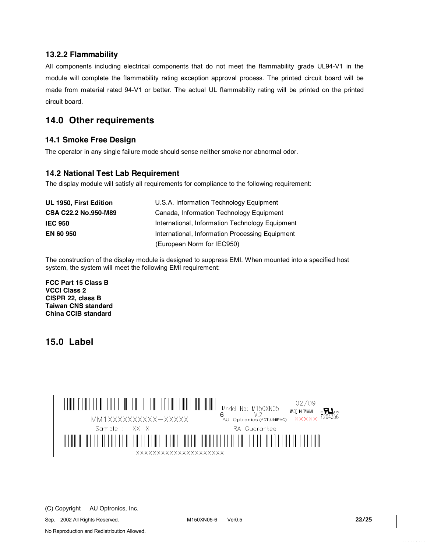### **13.2.2 Flammability**

All components including electrical components that do not meet the flammability grade UL94-V1 in the module will complete the flammability rating exception approval process. The printed circuit board will be made from material rated 94-V1 or better. The actual UL flammability rating will be printed on the printed circuit board.

# **14.0 Other requirements**

### **14.1 Smoke Free Design**

The operator in any single failure mode should sense neither smoke nor abnormal odor.

### **14.2 National Test Lab Requirement**

The display module will satisfy all requirements for compliance to the following requirement:

| UL 1950, First Edition | U.S.A. Information Technology Equipment         |
|------------------------|-------------------------------------------------|
| CSA C22.2 No.950-M89   | Canada, Information Technology Equipment        |
| <b>IEC 950</b>         | International, Information Technology Equipment |
| <b>EN 60 950</b>       | International, Information Processing Equipment |
|                        | (European Norm for IEC950)                      |

The construction of the display module is designed to suppress EMI. When mounted into a specified host system, the system will meet the following EMI requirement:

**FCC Part 15 Class B VCCI Class 2 CISPR 22, class B Taiwan CNS standard China CCIB standard** 

## **15.0 Label**



Sep. 2002 All Rights Reserved. M150XN05-6 Ver0.5 **22/25**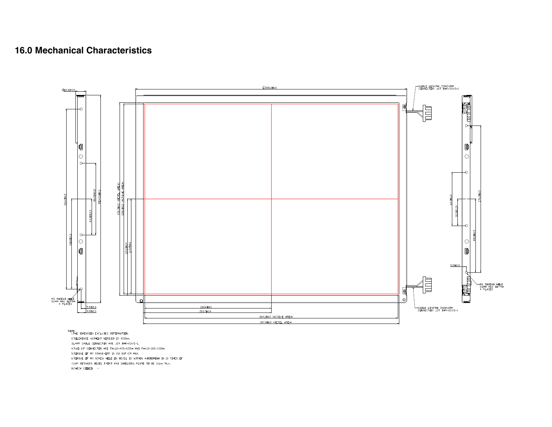# **16.0 Mechanical Characteristics**



<sup>7.</sup>GAP BETWEEN BEZEL FRONT AND SHIELDING PLATE TO BE 0.5mm  $Max.$  8.CHECK CODE@  $-$